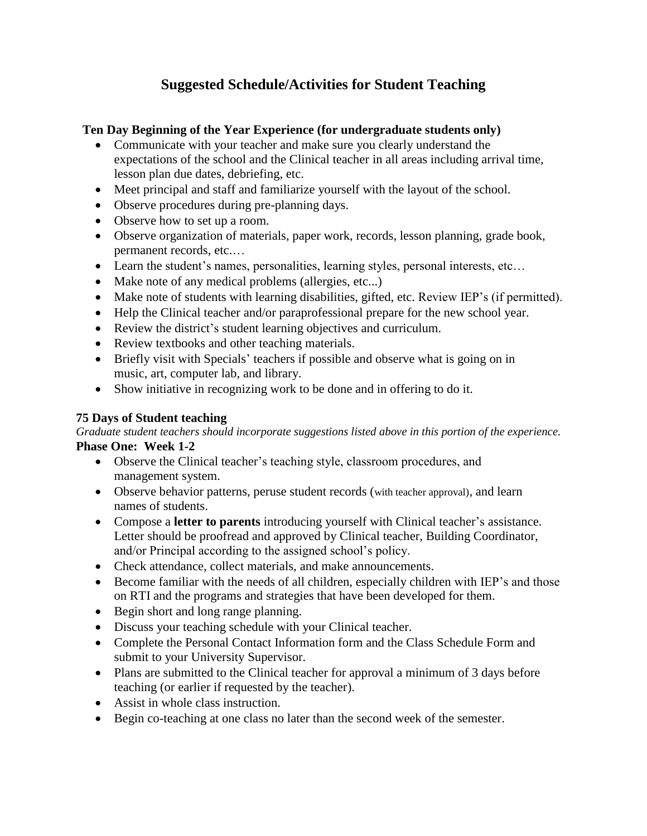# **Suggested Schedule/Activities for Student Teaching**

## **Ten Day Beginning of the Year Experience (for undergraduate students only)**

- Communicate with your teacher and make sure you clearly understand the expectations of the school and the Clinical teacher in all areas including arrival time, lesson plan due dates, debriefing, etc.
- Meet principal and staff and familiarize yourself with the layout of the school.
- Observe procedures during pre-planning days.
- Observe how to set up a room.
- Observe organization of materials, paper work, records, lesson planning, grade book, permanent records, etc.…
- Learn the student's names, personalities, learning styles, personal interests, etc…
- Make note of any medical problems (allergies, etc...)
- Make note of students with learning disabilities, gifted, etc. Review IEP's (if permitted).
- Help the Clinical teacher and/or paraprofessional prepare for the new school year.
- Review the district's student learning objectives and curriculum.
- Review textbooks and other teaching materials.
- Briefly visit with Specials' teachers if possible and observe what is going on in music, art, computer lab, and library.
- Show initiative in recognizing work to be done and in offering to do it.

## **75 Days of Student teaching**

*Graduate student teachers should incorporate suggestions listed above in this portion of the experience.* **Phase One: Week 1-2**

- Observe the Clinical teacher's teaching style, classroom procedures, and management system.
- Observe behavior patterns, peruse student records (with teacher approval), and learn names of students.
- Compose a **letter to parents** introducing yourself with Clinical teacher's assistance. Letter should be proofread and approved by Clinical teacher, Building Coordinator, and/or Principal according to the assigned school's policy.
- Check attendance, collect materials, and make announcements.
- Become familiar with the needs of all children, especially children with IEP's and those on RTI and the programs and strategies that have been developed for them.
- Begin short and long range planning.
- Discuss your teaching schedule with your Clinical teacher.
- Complete the Personal Contact Information form and the Class Schedule Form and submit to your University Supervisor.
- Plans are submitted to the Clinical teacher for approval a minimum of 3 days before teaching (or earlier if requested by the teacher).
- Assist in whole class instruction.
- Begin co-teaching at one class no later than the second week of the semester.